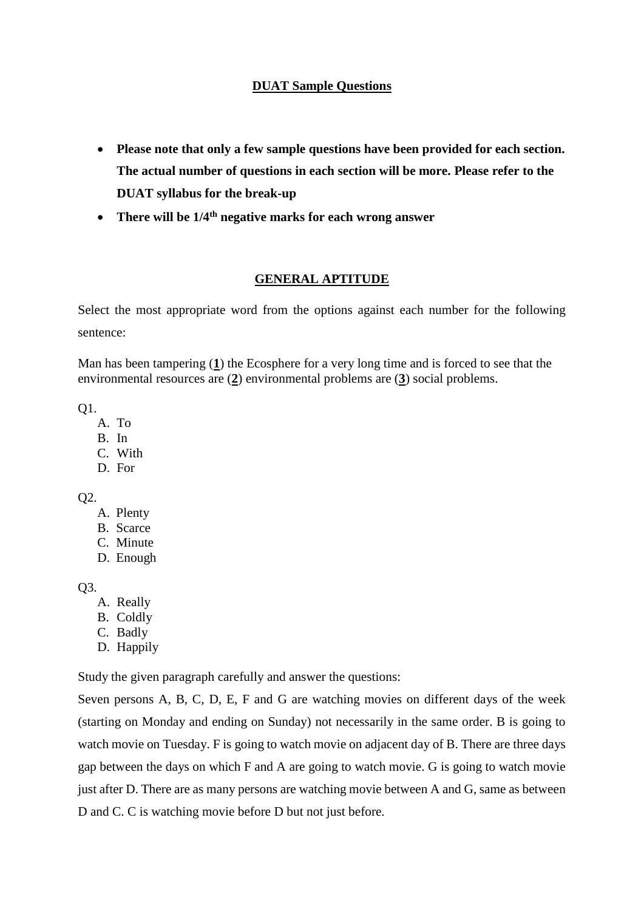# **DUAT Sample Questions**

- **Please note that only a few sample questions have been provided for each section. The actual number of questions in each section will be more. Please refer to the DUAT syllabus for the break-up**
- **There will be 1/4th negative marks for each wrong answer**

# **GENERAL APTITUDE**

Select the most appropriate word from the options against each number for the following sentence:

Man has been tampering (**1**) the Ecosphere for a very long time and is forced to see that the environmental resources are (**2**) environmental problems are (**3**) social problems.

Q1.

- A. To
- B. In
- C. With
- D. For

Q2.

- A. Plenty
- B. Scarce
- C. Minute
- D. Enough

Q3.

- A. Really
- B. Coldly
- C. Badly
- D. Happily

Study the given paragraph carefully and answer the questions:

Seven persons A, B, C, D, E, F and G are watching movies on different days of the week (starting on Monday and ending on Sunday) not necessarily in the same order. B is going to watch movie on Tuesday. F is going to watch movie on adjacent day of B. There are three days gap between the days on which F and A are going to watch movie. G is going to watch movie just after D. There are as many persons are watching movie between A and G, same as between D and C. C is watching movie before D but not just before.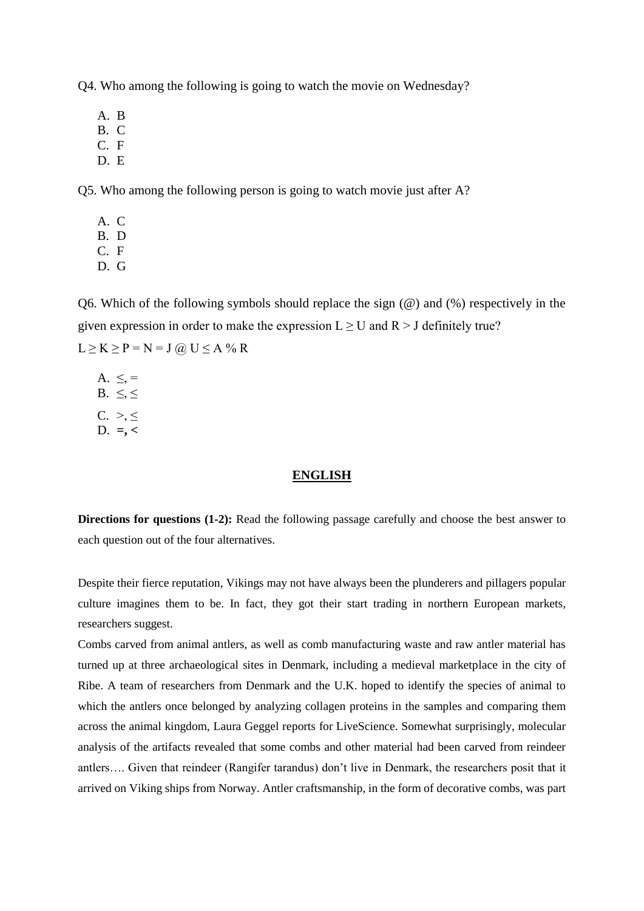Q4. Who among the following is going to watch the movie on Wednesday?

A. B

- B. C
- C. F D. E

Q5. Who among the following person is going to watch movie just after A?

- A. C B. D C. F
- D. G

Q6. Which of the following symbols should replace the sign  $(\mathcal{Q})$  and  $(\mathcal{C})$  respectively in the given expression in order to make the expression  $L \ge U$  and  $R > J$  definitely true?  $L \geq K \geq P = N = J$  (a)  $U \leq A$  % R

A.  $\leq$ , = B.  $\leq, \leq$  $C. > <$ D. **=, <**

#### **ENGLISH**

**Directions for questions (1-2):** Read the following passage carefully and choose the best answer to each question out of the four alternatives.

Despite their fierce reputation, Vikings may not have always been the plunderers and pillagers popular culture imagines them to be. In fact, they got their start trading in northern European markets, researchers suggest.

Combs carved from animal antlers, as well as comb manufacturing waste and raw antler material has turned up at three archaeological sites in Denmark, including a medieval marketplace in the city of Ribe. A team of researchers from Denmark and the U.K. hoped to identify the species of animal to which the antlers once belonged by analyzing collagen proteins in the samples and comparing them across the animal kingdom, Laura Geggel reports for LiveScience. Somewhat surprisingly, molecular analysis of the artifacts revealed that some combs and other material had been carved from reindeer antlers…. Given that reindeer (Rangifer tarandus) don't live in Denmark, the researchers posit that it arrived on Viking ships from Norway. Antler craftsmanship, in the form of decorative combs, was part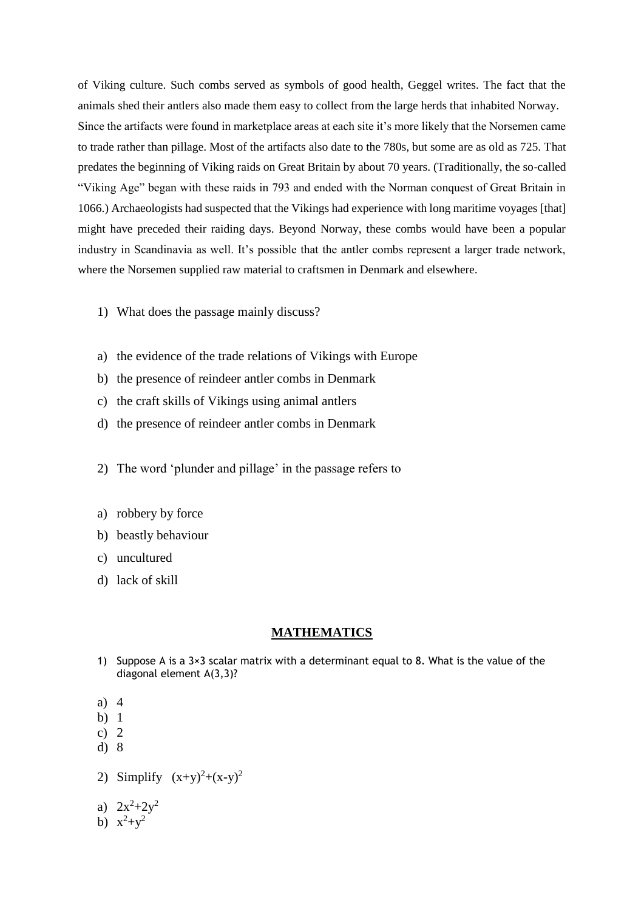of Viking culture. Such combs served as symbols of good health, Geggel writes. The fact that the animals shed their antlers also made them easy to collect from the large herds that inhabited Norway. Since the artifacts were found in marketplace areas at each site it's more likely that the Norsemen came to trade rather than pillage. Most of the artifacts also date to the 780s, but some are as old as 725. That predates the beginning of Viking raids on Great Britain by about 70 years. (Traditionally, the so-called "Viking Age" began with these raids in 793 and ended with the Norman conquest of Great Britain in 1066.) Archaeologists had suspected that the Vikings had experience with long maritime voyages [that] might have preceded their raiding days. Beyond Norway, these combs would have been a popular industry in Scandinavia as well. It's possible that the antler combs represent a larger trade network, where the Norsemen supplied raw material to craftsmen in Denmark and elsewhere.

- 1) What does the passage mainly discuss?
- a) the evidence of the trade relations of Vikings with Europe
- b) the presence of reindeer antler combs in Denmark
- c) the craft skills of Vikings using animal antlers
- d) the presence of reindeer antler combs in Denmark
- 2) The word 'plunder and pillage' in the passage refers to
- a) robbery by force
- b) beastly behaviour
- c) uncultured
- d) lack of skill

#### **MATHEMATICS**

- 1) Suppose A is a  $3\times3$  scalar matrix with a determinant equal to 8. What is the value of the diagonal element A(3,3)?
- a) 4
- b) 1
- c) 2
- d) 8
- 2) Simplify  $(x+y)^2+(x-y)^2$
- a)  $2x^2+2y^2$
- b)  $x^2+y^2$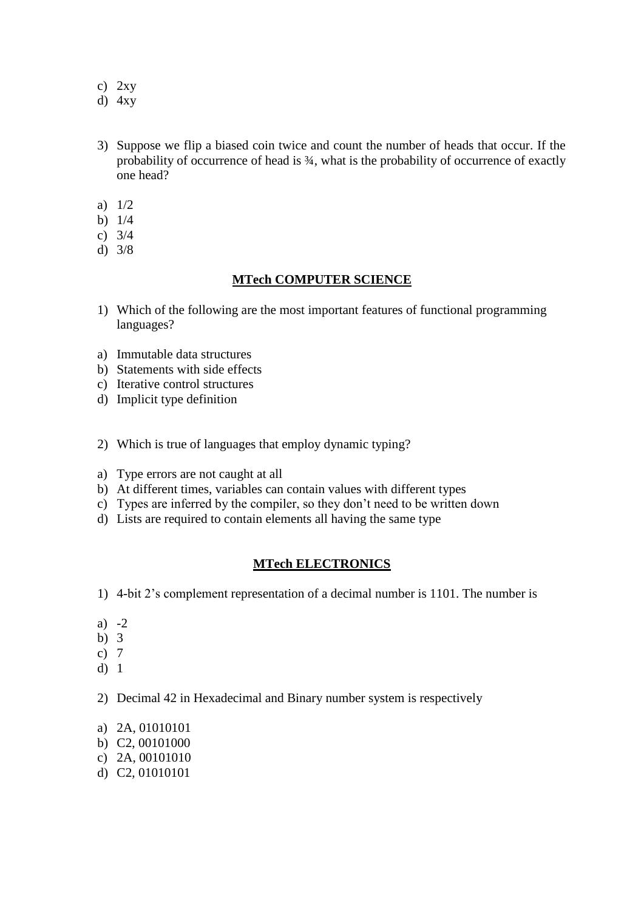- c) 2xy
- d) 4xy
- 3) Suppose we flip a biased coin twice and count the number of heads that occur. If the probability of occurrence of head is ¾, what is the probability of occurrence of exactly one head?
- a) 1/2
- b) 1/4
- c) 3/4
- d) 3/8

### **MTech COMPUTER SCIENCE**

- 1) Which of the following are the most important features of functional programming languages?
- a) Immutable data structures
- b) Statements with side effects
- c) Iterative control structures
- d) Implicit type definition
- 2) Which is true of languages that employ dynamic typing?
- a) Type errors are not caught at all
- b) At different times, variables can contain values with different types
- c) Types are inferred by the compiler, so they don't need to be written down
- d) Lists are required to contain elements all having the same type

# **MTech ELECTRONICS**

- 1) 4-bit 2's complement representation of a decimal number is 1101. The number is
- a) -2
- b) 3
- c) 7
- d) 1
- 2) Decimal 42 in Hexadecimal and Binary number system is respectively
- a) 2A, 01010101
- b) C2, 00101000
- c) 2A, 00101010
- d) C2, 01010101